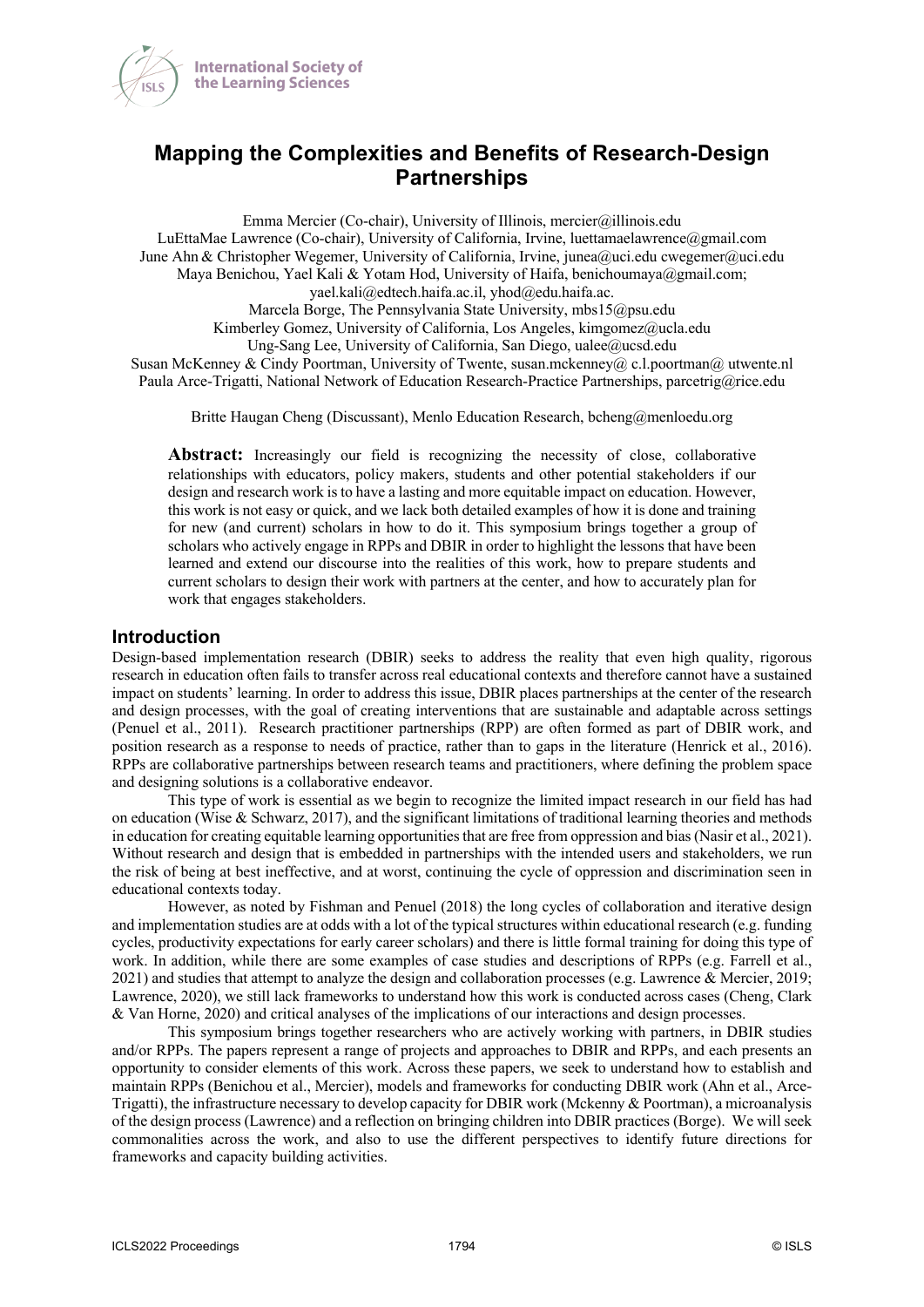

# **Mapping the Complexities and Benefits of Research-Design Partnerships**

Emma Mercier (Co-chair), University of Illinois, mercier@illinois.edu LuEttaMae Lawrence (Co-chair), University of California, Irvine, luettamaelawrence@gmail.com June Ahn & Christopher Wegemer, University of California, Irvine, junea@uci.edu cwegemer@uci.edu Maya Benichou, Yael Kali & Yotam Hod, University of Haifa, benichoumaya@gmail.com; yael.kali@edtech.haifa.ac.il, yhod@edu.haifa.ac. Marcela Borge, The Pennsylvania State University, mbs15@psu.edu Kimberley Gomez, University of California, Los Angeles, kimgomez@ucla.edu Ung-Sang Lee, University of California, San Diego, ualee@ucsd.edu Susan McKenney & Cindy Poortman, University of Twente, susan.mckenney@ c.l.poortman@ utwente.nl Paula Arce-Trigatti, National Network of Education Research-Practice Partnerships, parcetrig@rice.edu

Britte Haugan Cheng (Discussant), Menlo Education Research, bcheng@menloedu.org

**Abstract:** Increasingly our field is recognizing the necessity of close, collaborative relationships with educators, policy makers, students and other potential stakeholders if our design and research work is to have a lasting and more equitable impact on education. However, this work is not easy or quick, and we lack both detailed examples of how it is done and training for new (and current) scholars in how to do it. This symposium brings together a group of scholars who actively engage in RPPs and DBIR in order to highlight the lessons that have been learned and extend our discourse into the realities of this work, how to prepare students and current scholars to design their work with partners at the center, and how to accurately plan for work that engages stakeholders.

### **Introduction**

Design-based implementation research (DBIR) seeks to address the reality that even high quality, rigorous research in education often fails to transfer across real educational contexts and therefore cannot have a sustained impact on students' learning. In order to address this issue, DBIR places partnerships at the center of the research and design processes, with the goal of creating interventions that are sustainable and adaptable across settings (Penuel et al., 2011). Research practitioner partnerships (RPP) are often formed as part of DBIR work, and position research as a response to needs of practice, rather than to gaps in the literature (Henrick et al., 2016). RPPs are collaborative partnerships between research teams and practitioners, where defining the problem space and designing solutions is a collaborative endeavor.

This type of work is essential as we begin to recognize the limited impact research in our field has had on education (Wise & Schwarz, 2017), and the significant limitations of traditional learning theories and methods in education for creating equitable learning opportunities that are free from oppression and bias (Nasir et al., 2021). Without research and design that is embedded in partnerships with the intended users and stakeholders, we run the risk of being at best ineffective, and at worst, continuing the cycle of oppression and discrimination seen in educational contexts today.

However, as noted by Fishman and Penuel (2018) the long cycles of collaboration and iterative design and implementation studies are at odds with a lot of the typical structures within educational research (e.g. funding cycles, productivity expectations for early career scholars) and there is little formal training for doing this type of work. In addition, while there are some examples of case studies and descriptions of RPPs (e.g. Farrell et al., 2021) and studies that attempt to analyze the design and collaboration processes (e.g. Lawrence & Mercier, 2019; Lawrence, 2020), we still lack frameworks to understand how this work is conducted across cases (Cheng, Clark & Van Horne, 2020) and critical analyses of the implications of our interactions and design processes.

This symposium brings together researchers who are actively working with partners, in DBIR studies and/or RPPs. The papers represent a range of projects and approaches to DBIR and RPPs, and each presents an opportunity to consider elements of this work. Across these papers, we seek to understand how to establish and maintain RPPs (Benichou et al., Mercier), models and frameworks for conducting DBIR work (Ahn et al., Arce-Trigatti), the infrastructure necessary to develop capacity for DBIR work (Mckenny & Poortman), a microanalysis of the design process (Lawrence) and a reflection on bringing children into DBIR practices (Borge). We will seek commonalities across the work, and also to use the different perspectives to identify future directions for frameworks and capacity building activities.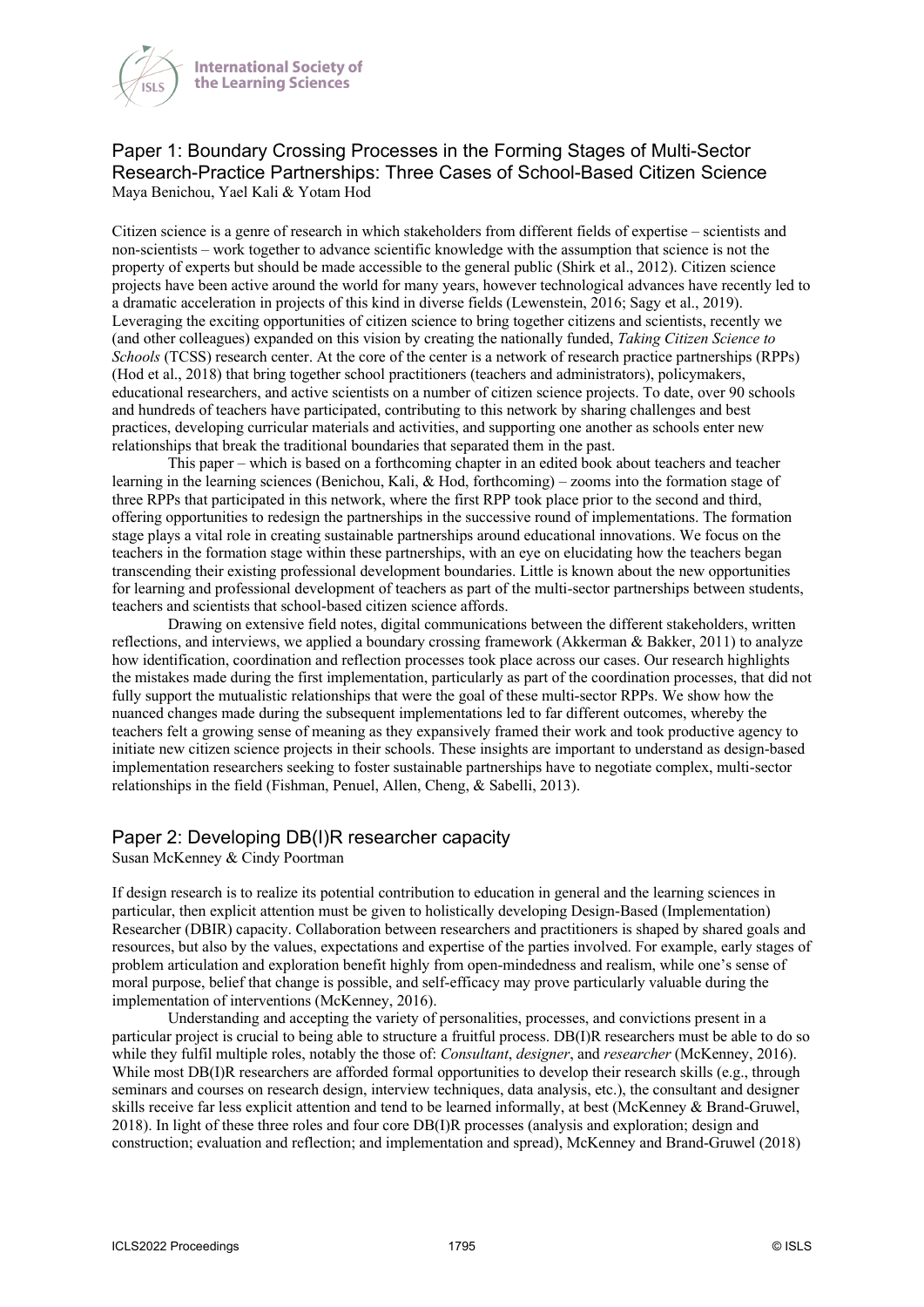

## Paper 1: Boundary Crossing Processes in the Forming Stages of Multi-Sector Research-Practice Partnerships: Three Cases of School-Based Citizen Science Maya Benichou, Yael Kali & Yotam Hod

Citizen science is a genre of research in which stakeholders from different fields of expertise – scientists and non-scientists – work together to advance scientific knowledge with the assumption that science is not the property of experts but should be made accessible to the general public (Shirk et al., 2012). Citizen science projects have been active around the world for many years, however technological advances have recently led to a dramatic acceleration in projects of this kind in diverse fields (Lewenstein, 2016; Sagy et al., 2019). Leveraging the exciting opportunities of citizen science to bring together citizens and scientists, recently we (and other colleagues) expanded on this vision by creating the nationally funded, *Taking Citizen Science to Schools* (TCSS) research center. At the core of the center is a network of research practice partnerships (RPPs) (Hod et al., 2018) that bring together school practitioners (teachers and administrators), policymakers, educational researchers, and active scientists on a number of citizen science projects. To date, over 90 schools and hundreds of teachers have participated, contributing to this network by sharing challenges and best practices, developing curricular materials and activities, and supporting one another as schools enter new relationships that break the traditional boundaries that separated them in the past.

This paper – which is based on a forthcoming chapter in an edited book about teachers and teacher learning in the learning sciences (Benichou, Kali, & Hod, forthcoming) – zooms into the formation stage of three RPPs that participated in this network, where the first RPP took place prior to the second and third, offering opportunities to redesign the partnerships in the successive round of implementations. The formation stage plays a vital role in creating sustainable partnerships around educational innovations. We focus on the teachers in the formation stage within these partnerships, with an eye on elucidating how the teachers began transcending their existing professional development boundaries. Little is known about the new opportunities for learning and professional development of teachers as part of the multi-sector partnerships between students, teachers and scientists that school-based citizen science affords.

Drawing on extensive field notes, digital communications between the different stakeholders, written reflections, and interviews, we applied a boundary crossing framework (Akkerman & Bakker, 2011) to analyze how identification, coordination and reflection processes took place across our cases. Our research highlights the mistakes made during the first implementation, particularly as part of the coordination processes, that did not fully support the mutualistic relationships that were the goal of these multi-sector RPPs. We show how the nuanced changes made during the subsequent implementations led to far different outcomes, whereby the teachers felt a growing sense of meaning as they expansively framed their work and took productive agency to initiate new citizen science projects in their schools. These insights are important to understand as design-based implementation researchers seeking to foster sustainable partnerships have to negotiate complex, multi-sector relationships in the field (Fishman, Penuel, Allen, Cheng, & Sabelli, 2013).

## Paper 2: Developing DB(I)R researcher capacity

Susan McKenney & Cindy Poortman

If design research is to realize its potential contribution to education in general and the learning sciences in particular, then explicit attention must be given to holistically developing Design-Based (Implementation) Researcher (DBIR) capacity. Collaboration between researchers and practitioners is shaped by shared goals and resources, but also by the values, expectations and expertise of the parties involved. For example, early stages of problem articulation and exploration benefit highly from open-mindedness and realism, while one's sense of moral purpose, belief that change is possible, and self-efficacy may prove particularly valuable during the implementation of interventions (McKenney, 2016).

Understanding and accepting the variety of personalities, processes, and convictions present in a particular project is crucial to being able to structure a fruitful process. DB(I)R researchers must be able to do so while they fulfil multiple roles, notably the those of: *Consultant*, *designer*, and *researcher* (McKenney, 2016). While most DB(I)R researchers are afforded formal opportunities to develop their research skills (e.g., through seminars and courses on research design, interview techniques, data analysis, etc.), the consultant and designer skills receive far less explicit attention and tend to be learned informally, at best (McKenney & Brand-Gruwel, 2018). In light of these three roles and four core DB(I)R processes (analysis and exploration; design and construction; evaluation and reflection; and implementation and spread), McKenney and Brand-Gruwel (2018)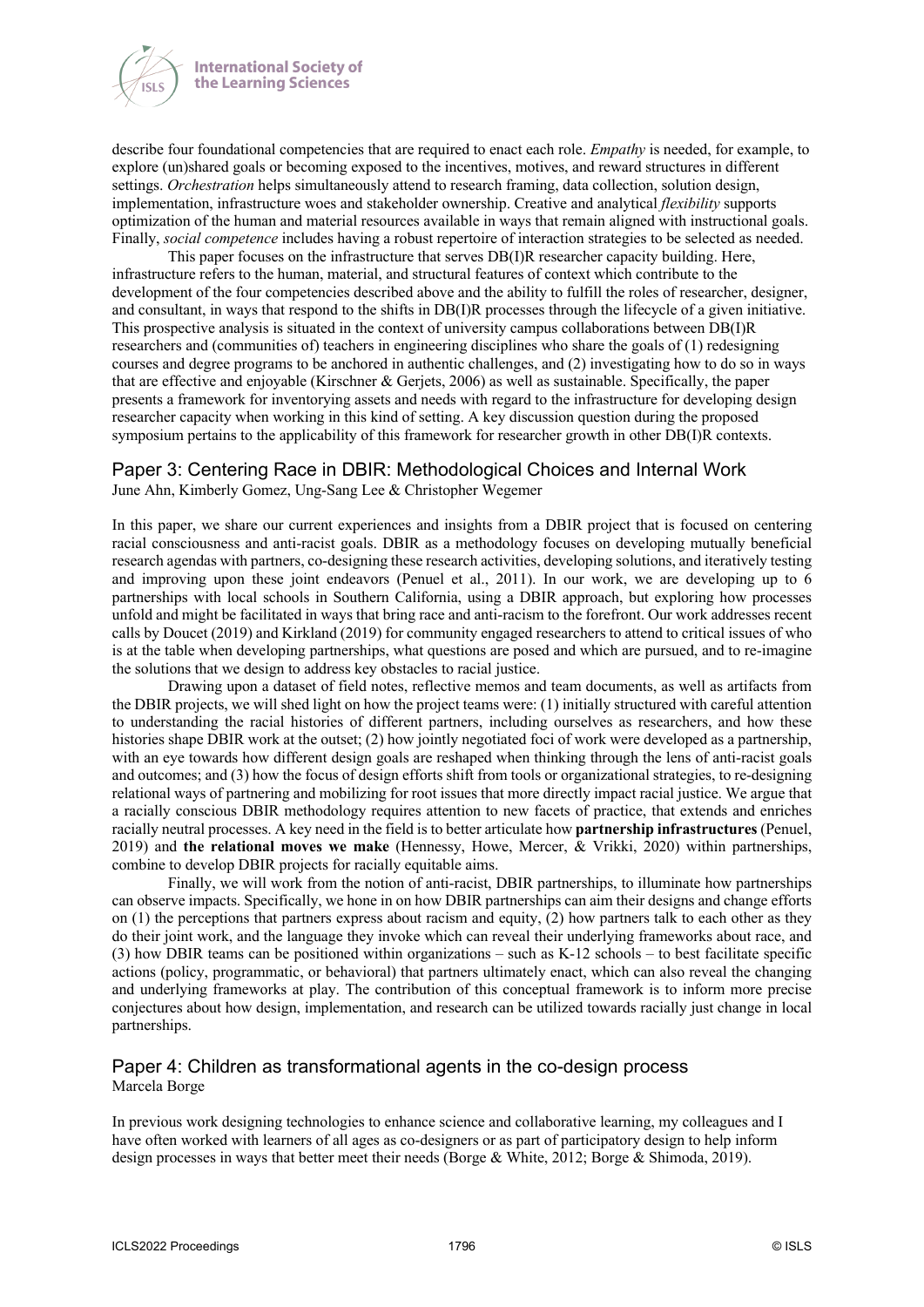



describe four foundational competencies that are required to enact each role. *Empathy* is needed, for example, to explore (un)shared goals or becoming exposed to the incentives, motives, and reward structures in different settings. *Orchestration* helps simultaneously attend to research framing, data collection, solution design, implementation, infrastructure woes and stakeholder ownership. Creative and analytical *flexibility* supports optimization of the human and material resources available in ways that remain aligned with instructional goals. Finally, *social competence* includes having a robust repertoire of interaction strategies to be selected as needed.

This paper focuses on the infrastructure that serves DB(I)R researcher capacity building. Here, infrastructure refers to the human, material, and structural features of context which contribute to the development of the four competencies described above and the ability to fulfill the roles of researcher, designer, and consultant, in ways that respond to the shifts in DB(I)R processes through the lifecycle of a given initiative. This prospective analysis is situated in the context of university campus collaborations between DB(I)R researchers and (communities of) teachers in engineering disciplines who share the goals of (1) redesigning courses and degree programs to be anchored in authentic challenges, and (2) investigating how to do so in ways that are effective and enjoyable (Kirschner & Gerjets, 2006) as well as sustainable. Specifically, the paper presents a framework for inventorying assets and needs with regard to the infrastructure for developing design researcher capacity when working in this kind of setting. A key discussion question during the proposed symposium pertains to the applicability of this framework for researcher growth in other DB(I)R contexts.

## Paper 3: Centering Race in DBIR: Methodological Choices and Internal Work

June Ahn, Kimberly Gomez, Ung-Sang Lee & Christopher Wegemer

In this paper, we share our current experiences and insights from a DBIR project that is focused on centering racial consciousness and anti-racist goals. DBIR as a methodology focuses on developing mutually beneficial research agendas with partners, co-designing these research activities, developing solutions, and iteratively testing and improving upon these joint endeavors (Penuel et al., 2011). In our work, we are developing up to 6 partnerships with local schools in Southern California, using a DBIR approach, but exploring how processes unfold and might be facilitated in ways that bring race and anti-racism to the forefront. Our work addresses recent calls by Doucet (2019) and Kirkland (2019) for community engaged researchers to attend to critical issues of who is at the table when developing partnerships, what questions are posed and which are pursued, and to re-imagine the solutions that we design to address key obstacles to racial justice.

Drawing upon a dataset of field notes, reflective memos and team documents, as well as artifacts from the DBIR projects, we will shed light on how the project teams were: (1) initially structured with careful attention to understanding the racial histories of different partners, including ourselves as researchers, and how these histories shape DBIR work at the outset; (2) how jointly negotiated foci of work were developed as a partnership, with an eye towards how different design goals are reshaped when thinking through the lens of anti-racist goals and outcomes; and (3) how the focus of design efforts shift from tools or organizational strategies, to re-designing relational ways of partnering and mobilizing for root issues that more directly impact racial justice. We argue that a racially conscious DBIR methodology requires attention to new facets of practice, that extends and enriches racially neutral processes. A key need in the field is to better articulate how **partnership infrastructures** (Penuel, 2019) and **the relational moves we make** (Hennessy, Howe, Mercer, & Vrikki, 2020) within partnerships, combine to develop DBIR projects for racially equitable aims.

Finally, we will work from the notion of anti-racist, DBIR partnerships, to illuminate how partnerships can observe impacts. Specifically, we hone in on how DBIR partnerships can aim their designs and change efforts on  $(1)$  the perceptions that partners express about racism and equity,  $(2)$  how partners talk to each other as they do their joint work, and the language they invoke which can reveal their underlying frameworks about race, and (3) how DBIR teams can be positioned within organizations – such as K-12 schools – to best facilitate specific actions (policy, programmatic, or behavioral) that partners ultimately enact, which can also reveal the changing and underlying frameworks at play. The contribution of this conceptual framework is to inform more precise conjectures about how design, implementation, and research can be utilized towards racially just change in local partnerships.

## Paper 4: Children as transformational agents in the co-design process Marcela Borge

In previous work designing technologies to enhance science and collaborative learning, my colleagues and I have often worked with learners of all ages as co-designers or as part of participatory design to help inform design processes in ways that better meet their needs (Borge & White, 2012; Borge & Shimoda, 2019).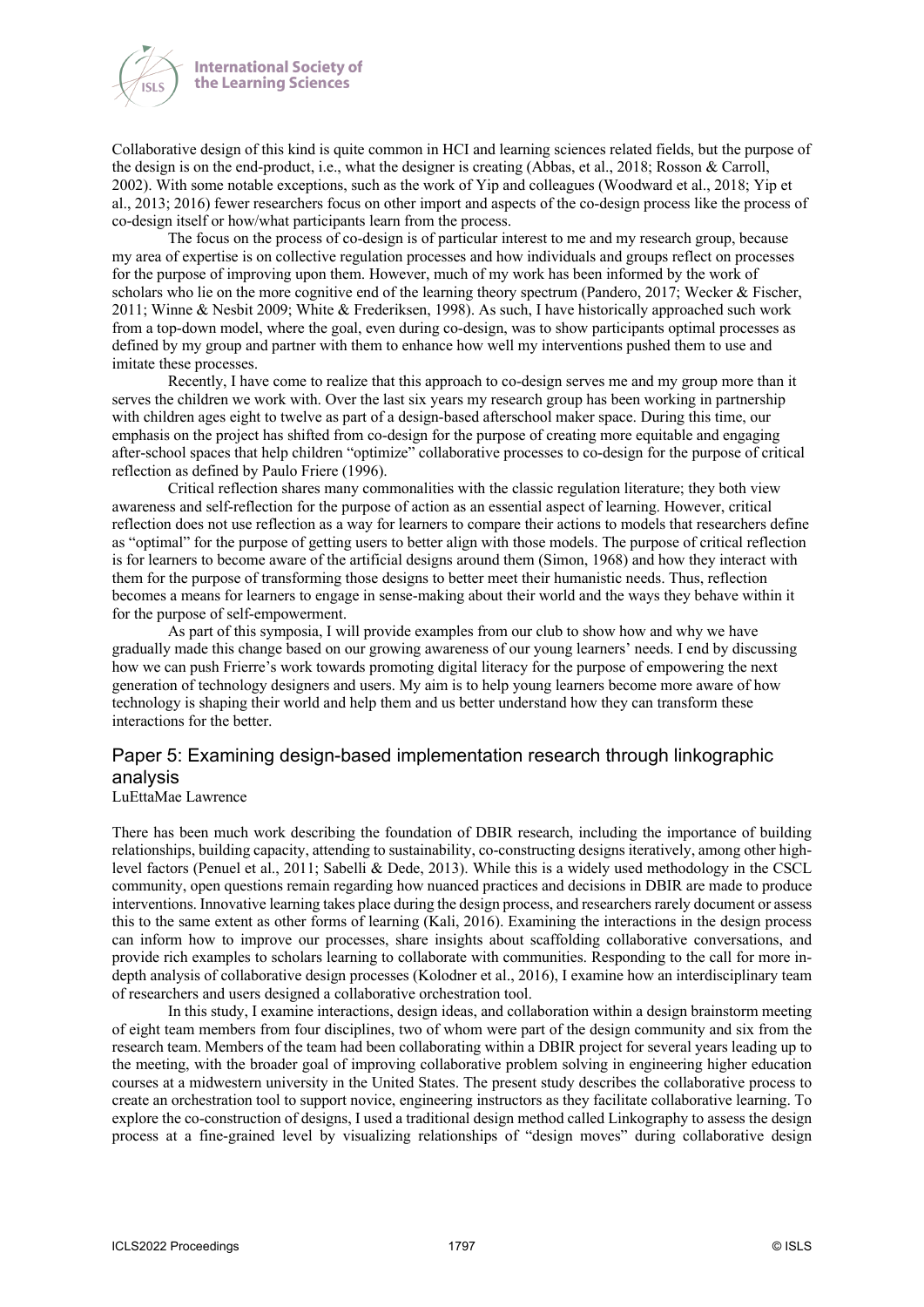



Collaborative design of this kind is quite common in HCI and learning sciences related fields, but the purpose of the design is on the end-product, i.e., what the designer is creating (Abbas, et al., 2018; Rosson & Carroll, 2002). With some notable exceptions, such as the work of Yip and colleagues (Woodward et al., 2018; Yip et al., 2013; 2016) fewer researchers focus on other import and aspects of the co-design process like the process of co-design itself or how/what participants learn from the process.

The focus on the process of co-design is of particular interest to me and my research group, because my area of expertise is on collective regulation processes and how individuals and groups reflect on processes for the purpose of improving upon them. However, much of my work has been informed by the work of scholars who lie on the more cognitive end of the learning theory spectrum (Pandero, 2017; Wecker & Fischer, 2011; Winne & Nesbit 2009; White & Frederiksen, 1998). As such, I have historically approached such work from a top-down model, where the goal, even during co-design, was to show participants optimal processes as defined by my group and partner with them to enhance how well my interventions pushed them to use and imitate these processes.

Recently, I have come to realize that this approach to co-design serves me and my group more than it serves the children we work with. Over the last six years my research group has been working in partnership with children ages eight to twelve as part of a design-based afterschool maker space. During this time, our emphasis on the project has shifted from co-design for the purpose of creating more equitable and engaging after-school spaces that help children "optimize" collaborative processes to co-design for the purpose of critical reflection as defined by Paulo Friere (1996).

Critical reflection shares many commonalities with the classic regulation literature; they both view awareness and self-reflection for the purpose of action as an essential aspect of learning. However, critical reflection does not use reflection as a way for learners to compare their actions to models that researchers define as "optimal" for the purpose of getting users to better align with those models. The purpose of critical reflection is for learners to become aware of the artificial designs around them (Simon, 1968) and how they interact with them for the purpose of transforming those designs to better meet their humanistic needs. Thus, reflection becomes a means for learners to engage in sense-making about their world and the ways they behave within it for the purpose of self-empowerment.

As part of this symposia, I will provide examples from our club to show how and why we have gradually made this change based on our growing awareness of our young learners' needs. I end by discussing how we can push Frierre's work towards promoting digital literacy for the purpose of empowering the next generation of technology designers and users. My aim is to help young learners become more aware of how technology is shaping their world and help them and us better understand how they can transform these interactions for the better.

## Paper 5: Examining design-based implementation research through linkographic analysis

#### LuEttaMae Lawrence

There has been much work describing the foundation of DBIR research, including the importance of building relationships, building capacity, attending to sustainability, co-constructing designs iteratively, among other highlevel factors (Penuel et al., 2011; Sabelli & Dede, 2013). While this is a widely used methodology in the CSCL community, open questions remain regarding how nuanced practices and decisions in DBIR are made to produce interventions. Innovative learning takes place during the design process, and researchers rarely document or assess this to the same extent as other forms of learning (Kali, 2016). Examining the interactions in the design process can inform how to improve our processes, share insights about scaffolding collaborative conversations, and provide rich examples to scholars learning to collaborate with communities. Responding to the call for more indepth analysis of collaborative design processes (Kolodner et al., 2016), I examine how an interdisciplinary team of researchers and users designed a collaborative orchestration tool.

In this study, I examine interactions, design ideas, and collaboration within a design brainstorm meeting of eight team members from four disciplines, two of whom were part of the design community and six from the research team. Members of the team had been collaborating within a DBIR project for several years leading up to the meeting, with the broader goal of improving collaborative problem solving in engineering higher education courses at a midwestern university in the United States. The present study describes the collaborative process to create an orchestration tool to support novice, engineering instructors as they facilitate collaborative learning. To explore the co-construction of designs, I used a traditional design method called Linkography to assess the design process at a fine-grained level by visualizing relationships of "design moves" during collaborative design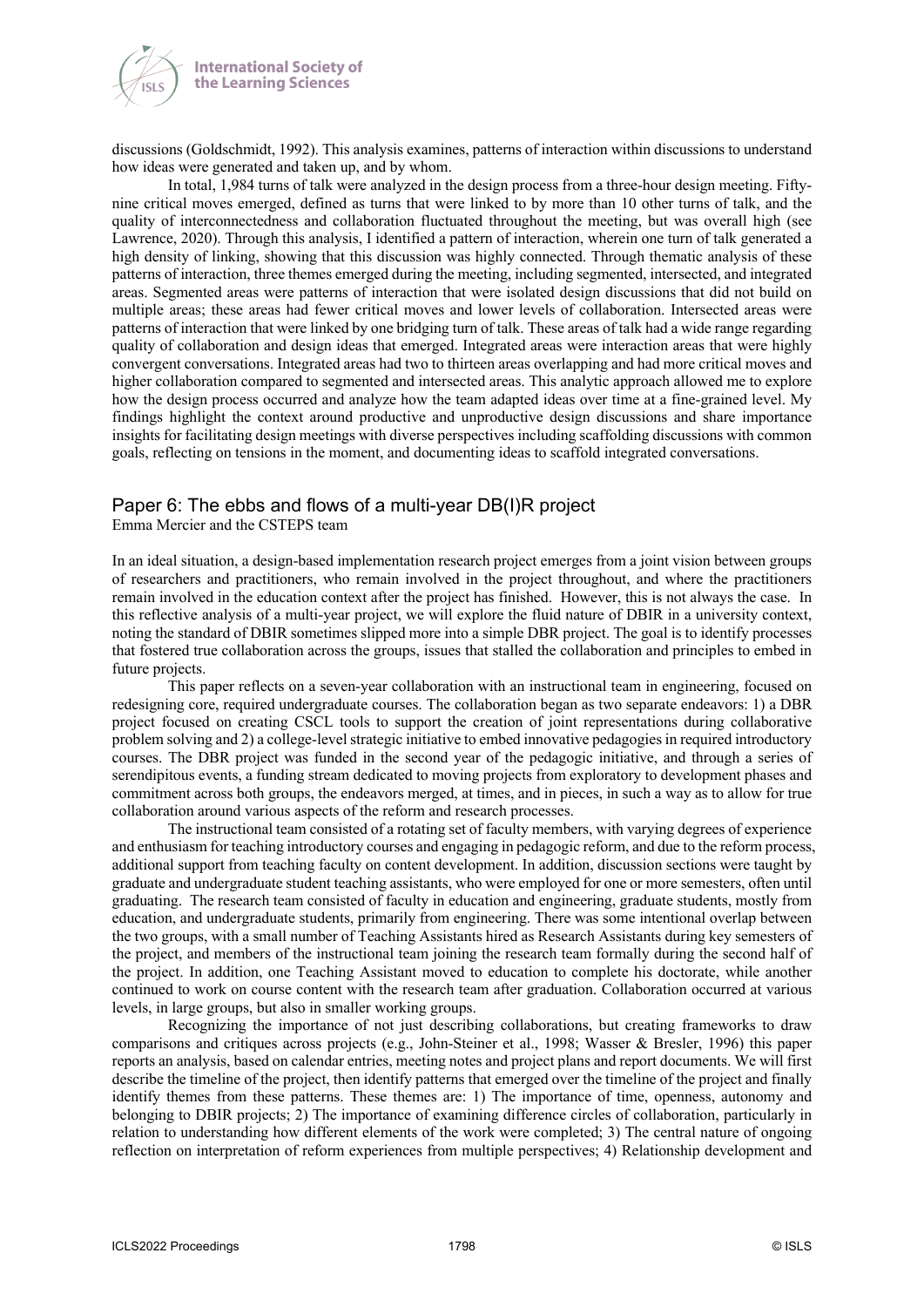

discussions (Goldschmidt, 1992). This analysis examines, patterns of interaction within discussions to understand how ideas were generated and taken up, and by whom.

In total, 1,984 turns of talk were analyzed in the design process from a three-hour design meeting. Fiftynine critical moves emerged, defined as turns that were linked to by more than 10 other turns of talk, and the quality of interconnectedness and collaboration fluctuated throughout the meeting, but was overall high (see Lawrence, 2020). Through this analysis, I identified a pattern of interaction, wherein one turn of talk generated a high density of linking, showing that this discussion was highly connected. Through thematic analysis of these patterns of interaction, three themes emerged during the meeting, including segmented, intersected, and integrated areas. Segmented areas were patterns of interaction that were isolated design discussions that did not build on multiple areas; these areas had fewer critical moves and lower levels of collaboration. Intersected areas were patterns of interaction that were linked by one bridging turn of talk. These areas of talk had a wide range regarding quality of collaboration and design ideas that emerged. Integrated areas were interaction areas that were highly convergent conversations. Integrated areas had two to thirteen areas overlapping and had more critical moves and higher collaboration compared to segmented and intersected areas. This analytic approach allowed me to explore how the design process occurred and analyze how the team adapted ideas over time at a fine-grained level. My findings highlight the context around productive and unproductive design discussions and share importance insights for facilitating design meetings with diverse perspectives including scaffolding discussions with common goals, reflecting on tensions in the moment, and documenting ideas to scaffold integrated conversations.

## Paper 6: The ebbs and flows of a multi-year DB(I)R project

Emma Mercier and the CSTEPS team

In an ideal situation, a design-based implementation research project emerges from a joint vision between groups of researchers and practitioners, who remain involved in the project throughout, and where the practitioners remain involved in the education context after the project has finished. However, this is not always the case. In this reflective analysis of a multi-year project, we will explore the fluid nature of DBIR in a university context, noting the standard of DBIR sometimes slipped more into a simple DBR project. The goal is to identify processes that fostered true collaboration across the groups, issues that stalled the collaboration and principles to embed in future projects.

This paper reflects on a seven-year collaboration with an instructional team in engineering, focused on redesigning core, required undergraduate courses. The collaboration began as two separate endeavors: 1) a DBR project focused on creating CSCL tools to support the creation of joint representations during collaborative problem solving and 2) a college-level strategic initiative to embed innovative pedagogies in required introductory courses. The DBR project was funded in the second year of the pedagogic initiative, and through a series of serendipitous events, a funding stream dedicated to moving projects from exploratory to development phases and commitment across both groups, the endeavors merged, at times, and in pieces, in such a way as to allow for true collaboration around various aspects of the reform and research processes.

The instructional team consisted of a rotating set of faculty members, with varying degrees of experience and enthusiasm for teaching introductory courses and engaging in pedagogic reform, and due to the reform process, additional support from teaching faculty on content development. In addition, discussion sections were taught by graduate and undergraduate student teaching assistants, who were employed for one or more semesters, often until graduating. The research team consisted of faculty in education and engineering, graduate students, mostly from education, and undergraduate students, primarily from engineering. There was some intentional overlap between the two groups, with a small number of Teaching Assistants hired as Research Assistants during key semesters of the project, and members of the instructional team joining the research team formally during the second half of the project. In addition, one Teaching Assistant moved to education to complete his doctorate, while another continued to work on course content with the research team after graduation. Collaboration occurred at various levels, in large groups, but also in smaller working groups.

Recognizing the importance of not just describing collaborations, but creating frameworks to draw comparisons and critiques across projects (e.g., John-Steiner et al., 1998; Wasser & Bresler, 1996) this paper reports an analysis, based on calendar entries, meeting notes and project plans and report documents. We will first describe the timeline of the project, then identify patterns that emerged over the timeline of the project and finally identify themes from these patterns. These themes are: 1) The importance of time, openness, autonomy and belonging to DBIR projects; 2) The importance of examining difference circles of collaboration, particularly in relation to understanding how different elements of the work were completed; 3) The central nature of ongoing reflection on interpretation of reform experiences from multiple perspectives; 4) Relationship development and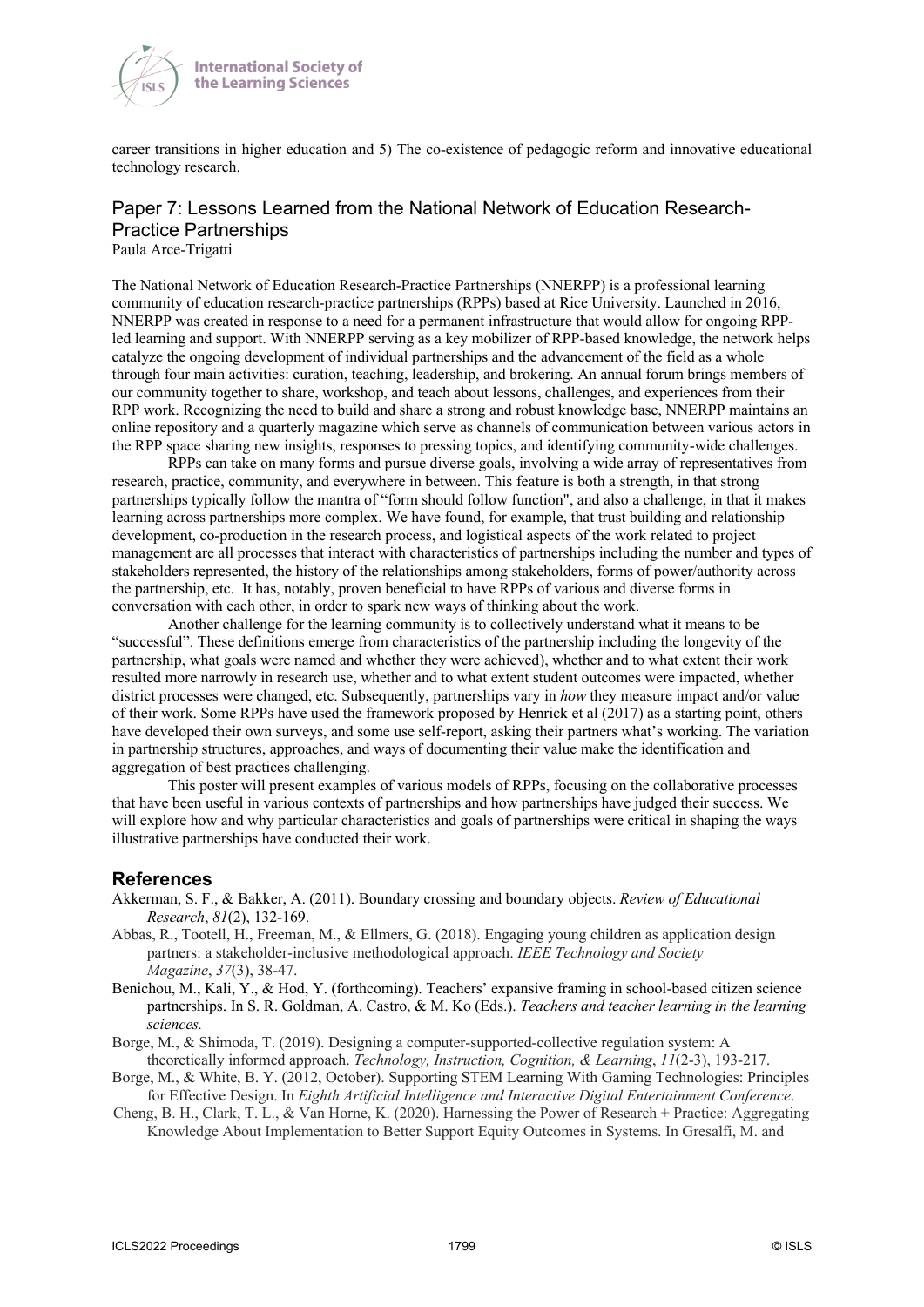

career transitions in higher education and 5) The co-existence of pedagogic reform and innovative educational technology research.

## Paper 7: Lessons Learned from the National Network of Education Research-Practice Partnerships

Paula Arce-Trigatti

The National Network of Education Research-Practice Partnerships (NNERPP) is a professional learning community of education research-practice partnerships (RPPs) based at Rice University. Launched in 2016, NNERPP was created in response to a need for a permanent infrastructure that would allow for ongoing RPPled learning and support. With NNERPP serving as a key mobilizer of RPP-based knowledge, the network helps catalyze the ongoing development of individual partnerships and the advancement of the field as a whole through four main activities: curation, teaching, leadership, and brokering. An annual forum brings members of our community together to share, workshop, and teach about lessons, challenges, and experiences from their RPP work. Recognizing the need to build and share a strong and robust knowledge base, NNERPP maintains an online repository and a quarterly magazine which serve as channels of communication between various actors in the RPP space sharing new insights, responses to pressing topics, and identifying community-wide challenges.

RPPs can take on many forms and pursue diverse goals, involving a wide array of representatives from research, practice, community, and everywhere in between. This feature is both a strength, in that strong partnerships typically follow the mantra of "form should follow function", and also a challenge, in that it makes learning across partnerships more complex. We have found, for example, that trust building and relationship development, co-production in the research process, and logistical aspects of the work related to project management are all processes that interact with characteristics of partnerships including the number and types of stakeholders represented, the history of the relationships among stakeholders, forms of power/authority across the partnership, etc. It has, notably, proven beneficial to have RPPs of various and diverse forms in conversation with each other, in order to spark new ways of thinking about the work.

Another challenge for the learning community is to collectively understand what it means to be "successful". These definitions emerge from characteristics of the partnership including the longevity of the partnership, what goals were named and whether they were achieved), whether and to what extent their work resulted more narrowly in research use, whether and to what extent student outcomes were impacted, whether district processes were changed, etc. Subsequently, partnerships vary in *how* they measure impact and/or value of their work. Some RPPs have used the framework proposed by Henrick et al (2017) as a starting point, others have developed their own surveys, and some use self-report, asking their partners what's working. The variation in partnership structures, approaches, and ways of documenting their value make the identification and aggregation of best practices challenging.

This poster will present examples of various models of RPPs, focusing on the collaborative processes that have been useful in various contexts of partnerships and how partnerships have judged their success. We will explore how and why particular characteristics and goals of partnerships were critical in shaping the ways illustrative partnerships have conducted their work.

### **References**

- Akkerman, S. F., & Bakker, A. (2011). Boundary crossing and boundary objects. *Review of Educational Research*, *81*(2), 132-169.
- Abbas, R., Tootell, H., Freeman, M., & Ellmers, G. (2018). Engaging young children as application design partners: a stakeholder-inclusive methodological approach. *IEEE Technology and Society Magazine*, *37*(3), 38-47.
- Benichou, M., Kali, Y., & Hod, Y. (forthcoming). Teachers' expansive framing in school-based citizen science partnerships. In S. R. Goldman, A. Castro, & M. Ko (Eds.). *Teachers and teacher learning in the learning sciences.*
- Borge, M., & Shimoda, T. (2019). Designing a computer-supported-collective regulation system: A theoretically informed approach. *Technology, Instruction, Cognition, & Learning*, *11*(2-3), 193-217.
- Borge, M., & White, B. Y. (2012, October). Supporting STEM Learning With Gaming Technologies: Principles for Effective Design. In *Eighth Artificial Intelligence and Interactive Digital Entertainment Conference*.
- Cheng, B. H., Clark, T. L., & Van Horne, K. (2020). Harnessing the Power of Research + Practice: Aggregating Knowledge About Implementation to Better Support Equity Outcomes in Systems. In Gresalfi, M. and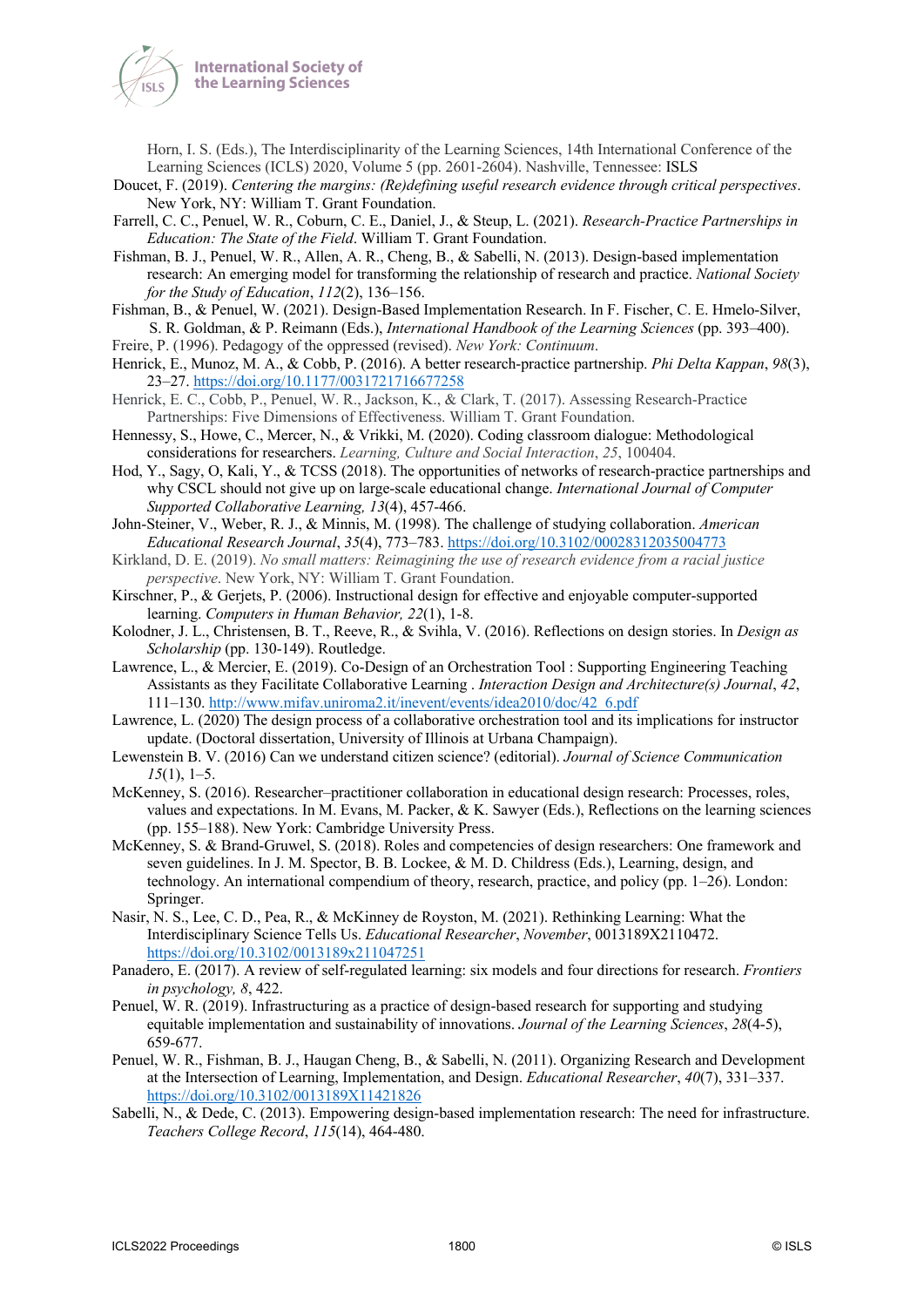

Horn, I. S. (Eds.), The Interdisciplinarity of the Learning Sciences, 14th International Conference of the Learning Sciences (ICLS) 2020, Volume 5 (pp. 2601-2604). Nashville, Tennessee: ISLS

- Doucet, F. (2019). *Centering the margins: (Re)defining useful research evidence through critical perspectives*. New York, NY: William T. Grant Foundation.
- Farrell, C. C., Penuel, W. R., Coburn, C. E., Daniel, J., & Steup, L. (2021). *Research-Practice Partnerships in Education: The State of the Field*. William T. Grant Foundation.
- Fishman, B. J., Penuel, W. R., Allen, A. R., Cheng, B., & Sabelli, N. (2013). Design-based implementation research: An emerging model for transforming the relationship of research and practice. *National Society for the Study of Education*, *112*(2), 136–156.
- Fishman, B., & Penuel, W. (2021). Design-Based Implementation Research. In F. Fischer, C. E. Hmelo-Silver, S. R. Goldman, & P. Reimann (Eds.), *International Handbook of the Learning Sciences* (pp. 393–400).
- Freire, P. (1996). Pedagogy of the oppressed (revised). *New York: Continuum*.
- Henrick, E., Munoz, M. A., & Cobb, P. (2016). A better research-practice partnership. *Phi Delta Kappan*, *98*(3), 23–27. https://doi.org/10.1177/0031721716677258
- Henrick, E. C., Cobb, P., Penuel, W. R., Jackson, K., & Clark, T. (2017). Assessing Research-Practice Partnerships: Five Dimensions of Effectiveness. William T. Grant Foundation.
- Hennessy, S., Howe, C., Mercer, N., & Vrikki, M. (2020). Coding classroom dialogue: Methodological considerations for researchers. *Learning, Culture and Social Interaction*, *25*, 100404.
- Hod, Y., Sagy, O, Kali, Y., & TCSS (2018). The opportunities of networks of research-practice partnerships and why CSCL should not give up on large-scale educational change. *International Journal of Computer Supported Collaborative Learning, 13*(4), 457-466.
- John-Steiner, V., Weber, R. J., & Minnis, M. (1998). The challenge of studying collaboration. *American Educational Research Journal*, *35*(4), 773–783. https://doi.org/10.3102/00028312035004773
- Kirkland, D. E. (2019). *No small matters: Reimagining the use of research evidence from a racial justice perspective*. New York, NY: William T. Grant Foundation.
- Kirschner, P., & Gerjets, P. (2006). Instructional design for effective and enjoyable computer-supported learning. *Computers in Human Behavior, 22*(1), 1-8.
- Kolodner, J. L., Christensen, B. T., Reeve, R., & Svihla, V. (2016). Reflections on design stories. In *Design as Scholarship* (pp. 130-149). Routledge.
- Lawrence, L., & Mercier, E. (2019). Co-Design of an Orchestration Tool : Supporting Engineering Teaching Assistants as they Facilitate Collaborative Learning . *Interaction Design and Architecture(s) Journal*, *42*, 111–130. http://www.mifav.uniroma2.it/inevent/events/idea2010/doc/42\_6.pdf
- Lawrence, L. (2020) The design process of a collaborative orchestration tool and its implications for instructor update. (Doctoral dissertation, University of Illinois at Urbana Champaign).
- Lewenstein B. V. (2016) Can we understand citizen science? (editorial). *Journal of Science Communication 15*(1), 1–5.
- McKenney, S. (2016). Researcher–practitioner collaboration in educational design research: Processes, roles, values and expectations. In M. Evans, M. Packer,  $\& K$ . Sawyer (Eds.), Reflections on the learning sciences (pp. 155–188). New York: Cambridge University Press.
- McKenney, S. & Brand-Gruwel, S. (2018). Roles and competencies of design researchers: One framework and seven guidelines. In J. M. Spector, B. B. Lockee, & M. D. Childress (Eds.), Learning, design, and technology. An international compendium of theory, research, practice, and policy (pp. 1–26). London: Springer.
- Nasir, N. S., Lee, C. D., Pea, R., & McKinney de Royston, M. (2021). Rethinking Learning: What the Interdisciplinary Science Tells Us. *Educational Researcher*, *November*, 0013189X2110472. https://doi.org/10.3102/0013189x211047251
- Panadero, E. (2017). A review of self-regulated learning: six models and four directions for research. *Frontiers in psychology, 8*, 422.
- Penuel, W. R. (2019). Infrastructuring as a practice of design-based research for supporting and studying equitable implementation and sustainability of innovations. *Journal of the Learning Sciences*, *28*(4-5), 659-677.
- Penuel, W. R., Fishman, B. J., Haugan Cheng, B., & Sabelli, N. (2011). Organizing Research and Development at the Intersection of Learning, Implementation, and Design. *Educational Researcher*, *40*(7), 331–337. https://doi.org/10.3102/0013189X11421826
- Sabelli, N., & Dede, C. (2013). Empowering design-based implementation research: The need for infrastructure. *Teachers College Record*, *115*(14), 464-480.